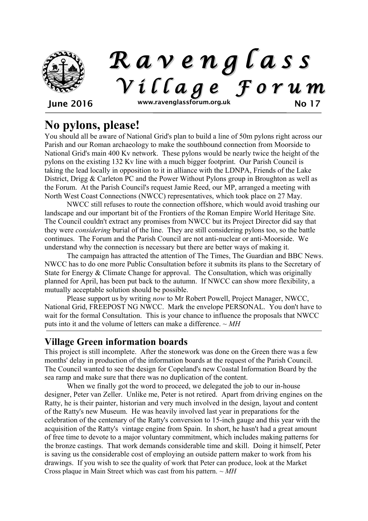

# **No pylons, please!**

You should all be aware of National Grid's plan to build a line of 50m pylons right across our Parish and our Roman archaeology to make the southbound connection from Moorside to National Grid's main 400 Kv network. These pylons would be nearly twice the height of the pylons on the existing 132 Kv line with a much bigger footprint. Our Parish Council is taking the lead locally in opposition to it in alliance with the LDNPA, Friends of the Lake District, Drigg & Carleton PC and the Power Without Pylons group in Broughton as well as the Forum. At the Parish Council's request Jamie Reed, our MP, arranged a meeting with North West Coast Connections (NWCC) representatives, which took place on 27 May.

NWCC still refuses to route the connection offshore, which would avoid trashing our landscape and our important bit of the Frontiers of the Roman Empire World Heritage Site. The Council couldn't extract any promises from NWCC but its Project Director did say that they were *considering* burial of the line. They are still considering pylons too, so the battle continues. The Forum and the Parish Council are not anti-nuclear or anti-Moorside. We understand why the connection is necessary but there are better ways of making it.

The campaign has attracted the attention of The Times, The Guardian and BBC News. NWCC has to do one more Public Consultation before it submits its plans to the Secretary of State for Energy & Climate Change for approval. The Consultation, which was originally planned for April, has been put back to the autumn. If NWCC can show more flexibility, a mutually acceptable solution should be possible.

Please support us by writing *now* to Mr Robert Powell, Project Manager, NWCC, National Grid, FREEPOST NG NWCC. Mark the envelope PERSONAL. You don't have to wait for the formal Consultation. This is your chance to influence the proposals that NWCC puts into it and the volume of letters can make a difference. *~ MH*

## **Village Green information boards**

This project is still incomplete. After the stonework was done on the Green there was a few months' delay in production of the information boards at the request of the Parish Council. The Council wanted to see the design for Copeland's new Coastal Information Board by the sea ramp and make sure that there was no duplication of the content.

When we finally got the word to proceed, we delegated the job to our in-house designer, Peter van Zeller. Unlike me, Peter is not retired. Apart from driving engines on the Ratty, he is their painter, historian and very much involved in the design, layout and content of the Ratty's new Museum. He was heavily involved last year in preparations for the celebration of the centenary of the Ratty's conversion to 15-inch gauge and this year with the acquisition of the Ratty's vintage engine from Spain. In short, he hasn't had a great amount of free time to devote to a major voluntary commitment, which includes making patterns for the bronze castings. That work demands considerable time and skill. Doing it himself, Peter is saving us the considerable cost of employing an outside pattern maker to work from his drawings. If you wish to see the quality of work that Peter can produce, look at the Market Cross plaque in Main Street which was cast from his pattern. *~ MH*